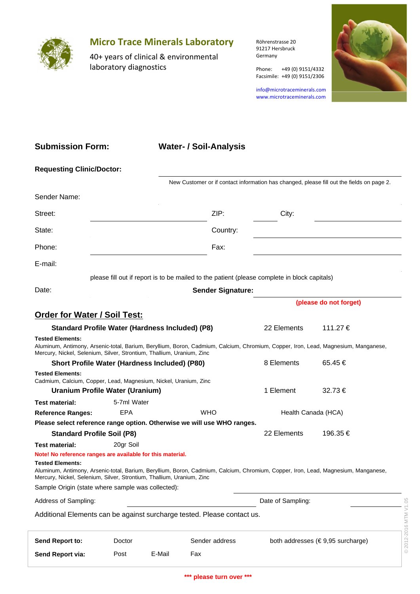

## **Micro Trace Minerals Laboratory**

40+ years of clinical & environmental laboratory diagnostics

Röhrenstrasse 20 91217 Hersbruck Germany

Phone: +49 (0) 9151/4332

info@microtraceminerals.com www.microtraceminerals.com

Facsimile: +49 (0) 9151/2306



## **Submission Form:**

## **Water- / Soil-Analysis**

| <b>Requesting Clinic/Doctor:</b>                                                                 |                                                        |                                                                                                                                    |                     |                        |
|--------------------------------------------------------------------------------------------------|--------------------------------------------------------|------------------------------------------------------------------------------------------------------------------------------------|---------------------|------------------------|
|                                                                                                  |                                                        | New Customer or if contact information has changed, please fill out the fields on page 2.                                          |                     |                        |
| Sender Name:                                                                                     |                                                        |                                                                                                                                    |                     |                        |
| Street:                                                                                          |                                                        | ZIP:                                                                                                                               | City:               |                        |
| State:                                                                                           |                                                        | Country:                                                                                                                           |                     |                        |
| Phone:                                                                                           |                                                        | Fax:                                                                                                                               |                     |                        |
| E-mail:                                                                                          |                                                        |                                                                                                                                    |                     |                        |
|                                                                                                  |                                                        | please fill out if report is to be mailed to the patient (please complete in block capitals)                                       |                     |                        |
| Date:                                                                                            |                                                        | <b>Sender Signature:</b>                                                                                                           |                     |                        |
|                                                                                                  |                                                        |                                                                                                                                    |                     | (please do not forget) |
| <b>Order for Water / Soil Test:</b>                                                              |                                                        |                                                                                                                                    |                     |                        |
|                                                                                                  | <b>Standard Profile Water (Hardness Included) (P8)</b> |                                                                                                                                    | 22 Elements         | 111.27 €               |
| <b>Tested Elements:</b><br>Mercury, Nickel, Selenium, Silver, Strontium, Thallium, Uranium, Zinc |                                                        | Aluminum, Antimony, Arsenic-total, Barium, Beryllium, Boron, Cadmium, Calcium, Chromium, Copper, Iron, Lead, Magnesium, Manganese, |                     |                        |
|                                                                                                  | Short Profile Water (Hardness Included) (P80)          |                                                                                                                                    | 8 Elements          | 65.45€                 |
| <b>Tested Elements:</b><br>Cadmium, Calcium, Copper, Lead, Magnesium, Nickel, Uranium, Zinc      |                                                        |                                                                                                                                    |                     |                        |
|                                                                                                  | Uranium Profile Water (Uranium)                        |                                                                                                                                    | 1 Element           | 32.73€                 |
| <b>Test material:</b>                                                                            | 5-7ml Water                                            |                                                                                                                                    |                     |                        |
| <b>Reference Ranges:</b>                                                                         | EPA                                                    | <b>WHO</b>                                                                                                                         | Health Canada (HCA) |                        |
|                                                                                                  |                                                        | Please select reference range option. Otherwise we will use WHO ranges.                                                            |                     |                        |
| <b>Standard Profile Soil (P8)</b>                                                                |                                                        |                                                                                                                                    | 22 Elements         | 196.35 €               |
| <b>Test material:</b>                                                                            | 20gr Soil                                              |                                                                                                                                    |                     |                        |
| Note! No reference ranges are available for this material.                                       |                                                        |                                                                                                                                    |                     |                        |
| <b>Tested Elements:</b><br>Mercury, Nickel, Selenium, Silver, Strontium, Thallium, Uranium, Zinc |                                                        | Aluminum, Antimony, Arsenic-total, Barium, Beryllium, Boron, Cadmium, Calcium, Chromium, Copper, Iron, Lead, Magnesium, Manganese, |                     |                        |
|                                                                                                  |                                                        |                                                                                                                                    |                     |                        |

Sample Origin (state where sample was collected):

Address of Sampling: **Date of Sampling:** Date of Sampling:

| Additional Libritario can be against surbitarye tested. I fease contact ds. |  |
|-----------------------------------------------------------------------------|--|
|                                                                             |  |
|                                                                             |  |

| Address of Sampling:   |        |        |                                                                         | Date of Sampling:                           | 2                                   |
|------------------------|--------|--------|-------------------------------------------------------------------------|---------------------------------------------|-------------------------------------|
|                        |        |        | Additional Elements can be against surcharge tested. Please contact us. |                                             | $\equiv$<br>$\circ$                 |
| <b>Send Report to:</b> | Doctor |        | Sender address                                                          | both addresses ( $\epsilon$ 9,95 surcharge) | ସ<br>$\tilde{C}$<br>$\overline{20}$ |
| Send Report via:       | Post   | E-Mail | Fax                                                                     |                                             | $\odot$                             |
|                        |        |        |                                                                         |                                             |                                     |